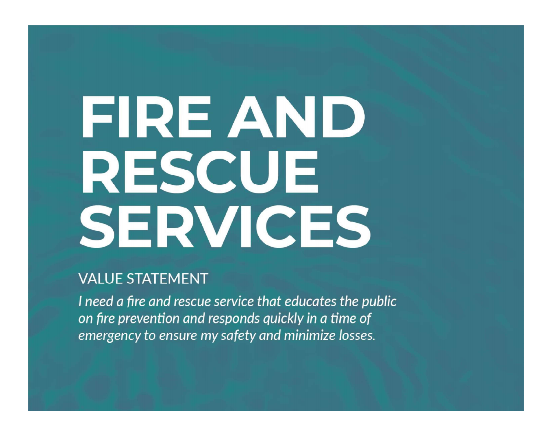# FIRE AND RESCUE SERVICES

# **VALUE STATEMENT**

I need a fire and rescue service that educates the public on fire prevention and responds quickly in a time of emergency to ensure my safety and minimize losses.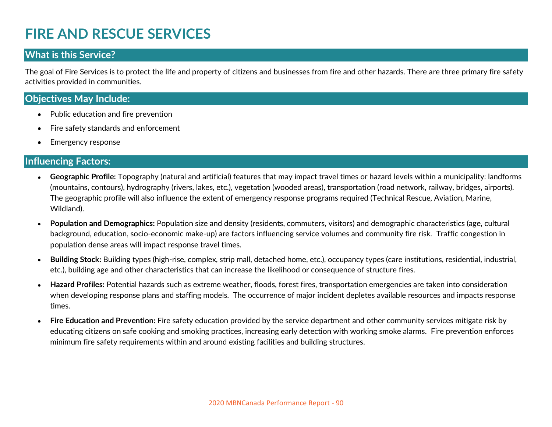# FIRE AND RESCUE SERVICES

#### What is this Service?

The goal of Fire Services is to protect the life and property of citizens and businesses from fire and other hazards. There are three primary fire safety activities provided in communities.

#### Objectives May Include:

- Public education and fire prevention
- Fire safety standards and enforcement
- Emergency response

#### Influencing Factors:

- Geographic Profile: Topography (natural and artificial) features that may impact travel times or hazard levels within a municipality: landforms (mountains, contours), hydrography (rivers, lakes, etc.), vegetation (wooded areas), transportation (road network, railway, bridges, airports). The geographic profile will also influence the extent of emergency response programs required (Technical Rescue, Aviation, Marine, Wildland).
- Population and Demographics: Population size and density (residents, commuters, visitors) and demographic characteristics (age, cultural background, education, socio-economic make-up) are factors influencing service volumes and community fire risk. Traffic congestion in population dense areas will impact response travel times.
- Building Stock: Building types (high-rise, complex, strip mall, detached home, etc.), occupancy types (care institutions, residential, industrial,  $\bullet$ etc.), building age and other characteristics that can increase the likelihood or consequence of structure fires.
- Hazard Profiles: Potential hazards such as extreme weather, floods, forest fires, transportation emergencies are taken into consideration when developing response plans and staffing models. The occurrence of major incident depletes available resources and impacts response times.
- Fire Education and Prevention: Fire safety education provided by the service department and other community services mitigate risk by  $\bullet$ educating citizens on safe cooking and smoking practices, increasing early detection with working smoke alarms. Fire prevention enforces minimum fire safety requirements within and around existing facilities and building structures.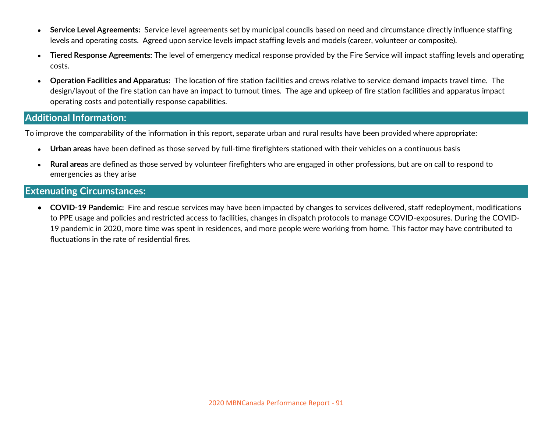- Service Level Agreements: Service level agreements set by municipal councils based on need and circumstance directly influence staffing levels and operating costs. Agreed upon service levels impact staffing levels and models (career, volunteer or composite).
- Tiered Response Agreements: The level of emergency medical response provided by the Fire Service will impact staffing levels and operating  $\bullet$ costs.
- Operation Facilities and Apparatus: The location of fire station facilities and crews relative to service demand impacts travel time. The design/layout of the fire station can have an impact to turnout times. The age and upkeep of fire station facilities and apparatus impact operating costs and potentially response capabilities.

#### Additional Information:

To improve the comparability of the information in this report, separate urban and rural results have been provided where appropriate:

- Urban areas have been defined as those served by full-time firefighters stationed with their vehicles on a continuous basis
- Rural areas are defined as those served by volunteer firefighters who are engaged in other professions, but are on call to respond to emergencies as they arise

#### Extenuating Circumstances:

COVID-19 Pandemic: Fire and rescue services may have been impacted by changes to services delivered, staff redeployment, modifications to PPE usage and policies and restricted access to facilities, changes in dispatch protocols to manage COVID-exposures. During the COVID-Tiered Response Agreements: The level of emergency medical response provided by the Fire Service will impact staffing levels and operation<br>Coparation Facilities and Apparatus: The location of fire station facilities and cr fluctuations in the rate of residential fires.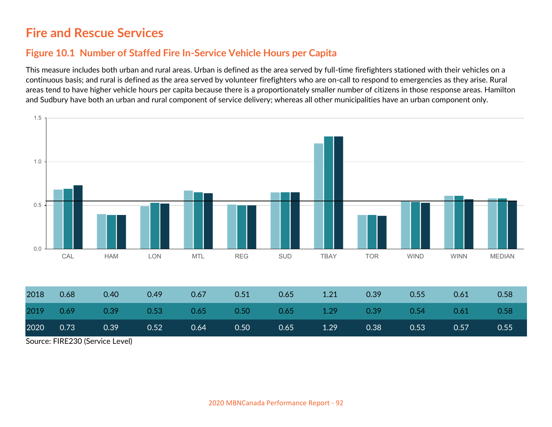#### Figure 10.1 Number of Staffed Fire In-Service Vehicle Hours per Capita

This measure includes both urban and rural areas. Urban is defined as the area served by full-time firefighters stationed with their vehicles on a continuous basis; and rural is defined as the area served by volunteer firefighters who are on-call to respond to emergencies as they arise. Rural areas tend to have higher vehicle hours per capita because there is a proportionately smaller number of citizens in those response areas. Hamilton and Sudbury have both an urban and rural component of service delivery; whereas all other municipalities have an urban component only.



| 2019<br>0.69<br>0.39<br>0.53<br>0.65<br>1.29 <sub>1</sub><br>0.54<br>0.65<br>0.58 <sub>1</sub><br>0.50 <sub>1</sub><br>0.39 <sub>1</sub><br>0.61 |
|--------------------------------------------------------------------------------------------------------------------------------------------------|
| 2020<br>0.73<br>0.39<br>0.52<br>1.29<br>0.64<br>0.65<br>0.53<br>0.38<br>0.57<br>0.55<br>0.50                                                     |

Source: FIRE230 (Service Level)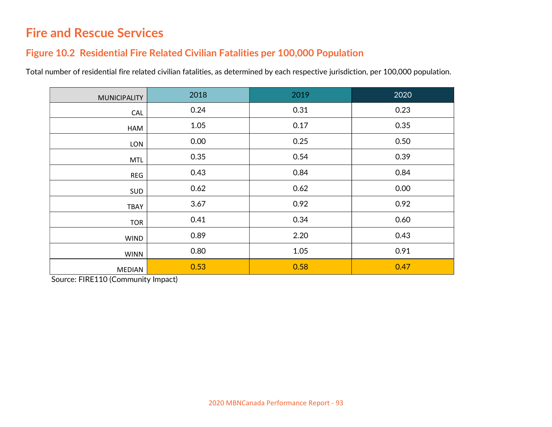### Figure 10.2 Residential Fire Related Civilian Fatalities per 100,000 Population

Total number of residential fire related civilian fatalities, as determined by each respective jurisdiction, per 100,000 population.

| <b>MUNICIPALITY</b> | 2018 | 2019 | 2020 |
|---------------------|------|------|------|
| <b>CAL</b>          | 0.24 | 0.31 | 0.23 |
| HAM                 | 1.05 | 0.17 | 0.35 |
| LON                 | 0.00 | 0.25 | 0.50 |
| <b>MTL</b>          | 0.35 | 0.54 | 0.39 |
| REG                 | 0.43 | 0.84 | 0.84 |
| <b>SUD</b>          | 0.62 | 0.62 | 0.00 |
| <b>TBAY</b>         | 3.67 | 0.92 | 0.92 |
| <b>TOR</b>          | 0.41 | 0.34 | 0.60 |
| <b>WIND</b>         | 0.89 | 2.20 | 0.43 |
| <b>WINN</b>         | 0.80 | 1.05 | 0.91 |
| <b>MEDIAN</b>       | 0.53 | 0.58 | 0.47 |

Source: FIRE110 (Community Impact)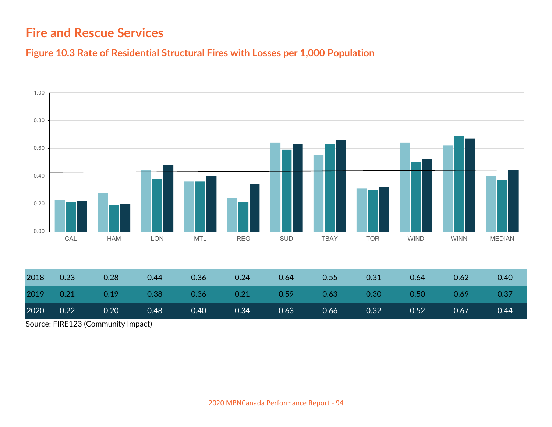Figure 10.3 Rate of Residential Structural Fires with Losses per 1,000 Population



| 2018 | 0.23 | 0.28 | 0.44 | 0.36 | 0.24 | 0.64 | 0.55 | 0.31 | 0.64 | 0.62 | 0.40 |
|------|------|------|------|------|------|------|------|------|------|------|------|
| 2019 | 0.21 | 0.19 | 0.38 | 0.36 | 0.21 | 0.59 | 0.63 | 0.30 | 0.50 | 0.69 | 0.37 |
| 2020 | 0.22 | 0.20 | 0.48 | 0.40 | 0.34 | 0.63 | 0.66 | 0.32 | 0.52 | 0.67 | 0.44 |

Source: FIRE123 (Community Impact)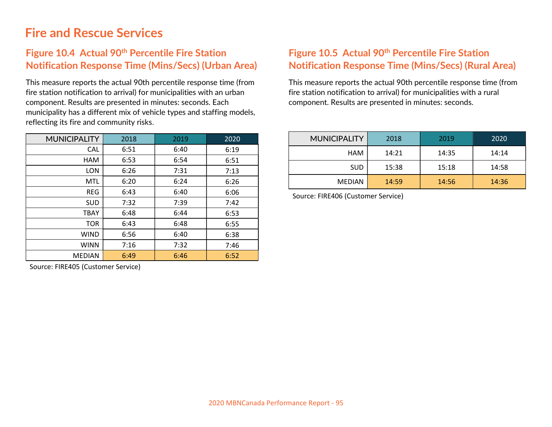#### Figure 10.4 Actual 90<sup>th</sup> Percentile Fire Station Notification Response Time (Mins/Secs) (Urban Area)

This measure reports the actual 90th percentile response time (from fire station notification to arrival) for municipalities with an urban component. Results are presented in minutes: seconds. Each municipality has a different mix of vehicle types and staffing models, reflecting its fire and community risks.

| <b>MUNICIPALITY</b> | 2018 | 2019 | 2020 |  |
|---------------------|------|------|------|--|
| <b>CAL</b>          | 6:51 | 6:40 | 6:19 |  |
| <b>HAM</b>          | 6:53 | 6:54 | 6:51 |  |
| <b>LON</b>          | 6:26 | 7:31 | 7:13 |  |
| <b>MTL</b>          | 6:20 | 6:24 | 6:26 |  |
| <b>REG</b>          | 6:43 | 6:40 | 6:06 |  |
| <b>SUD</b>          | 7:32 | 7:39 | 7:42 |  |
| <b>TBAY</b>         | 6:48 | 6:44 | 6:53 |  |
| <b>TOR</b>          | 6:43 | 6:48 | 6:55 |  |
| <b>WIND</b>         | 6:56 | 6:40 | 6:38 |  |
| <b>WINN</b>         | 7:16 | 7:32 | 7:46 |  |
| <b>MEDIAN</b>       | 6:49 | 6:46 | 6:52 |  |

Source: FIRE405 (Customer Service)

#### Figure 10.5 Actual 90<sup>th</sup> Percentile Fire Station Notification Response Time (Mins/Secs) (Rural Area)

| Figure 10.5 Actual 90 <sup>th</sup> Percentile Fire Station<br><b>Notification Response Time (Mins/Secs) (Rural Area)</b><br>This measure reports the actual 90th percentile response time (from<br>fire station notification to arrival) for municipalities with a rural<br>component. Results are presented in minutes: seconds. |       |       |       |
|------------------------------------------------------------------------------------------------------------------------------------------------------------------------------------------------------------------------------------------------------------------------------------------------------------------------------------|-------|-------|-------|
| <b>MUNICIPALITY</b>                                                                                                                                                                                                                                                                                                                | 2018  | 2019  | 2020  |
| HAM                                                                                                                                                                                                                                                                                                                                | 14:21 | 14:35 | 14:14 |
| <b>SUD</b>                                                                                                                                                                                                                                                                                                                         | 15:38 | 15:18 | 14:58 |
| <b>MEDIAN</b>                                                                                                                                                                                                                                                                                                                      | 14:59 | 14:56 | 14:36 |
| Source: FIRE406 (Customer Service)                                                                                                                                                                                                                                                                                                 |       |       |       |